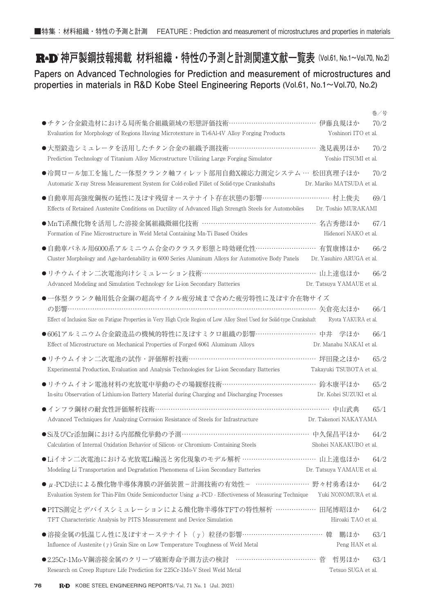**R**<sup>a</sup>D 神戸製鋼技報掲載 材料組織・特性の予測と計測関連文献一覧表 (Vol.61, No.1~Vol.70, No.2)

**Papers on Advanced Technologies for Prediction and measurement of microstructures and properties in materials in R&D Kobe Steel Engineering Reports (Vol.61, No.1~Vol.70, No.2)**

|                                                                                                                                                                           |                            | 巻/号  |
|---------------------------------------------------------------------------------------------------------------------------------------------------------------------------|----------------------------|------|
| ●チタン合金鍛造材における局所集合組織領域の形態評価技術………………………………… 伊藤良規ほか<br>Evaluation for Morphology of Regions Having Microtexture in Ti-6Al-4V Alloy Forging Products                          | Yoshinori ITO et al.       | 70/2 |
| ●大型鍛造シミュレータを活用したチタン合金の組織予測技術………………………………… 逸見義男ほか<br>Prediction Technology of Titanium Alloy Microstructure Utilizing Large Forging Simulator                              | Yoshio ITSUMI et al.       | 70/2 |
| ●冷間ロール加工を施した一体型クランク軸フィレット部用自動X線応力測定システム… 松田真理子ほか<br>Automatic X-ray Stress Measurement System for Cold-rolled Fillet of Solid-type Crankshafts                            | Dr. Mariko MATSUDA et al.  | 70/2 |
| ●自動車用高強度鋼板の延性に及ぼす残留オーステナイト存在状態の影響………………………… 村上俊夫<br>Effects of Retained Austenite Conditions on Ductility of Advanced High Strength Steels for Automobiles                | Dr. Toshio MURAKAMI        | 69/1 |
| ●MnTi系酸化物を活用した溶接金属組織微細化技術 …………………………………………… 名古秀徳ほか<br>Formation of Fine Microstructure in Weld Metal Containing Mn-Ti Based Oxides                                        | Hidenori NAKO et al.       | 67/1 |
| ●自動車パネル用6000系アルミニウム合金のクラスタ形態と時効硬化性……………………… 有賀康博ほか<br>Cluster Morphology and Age-hardenability in 6000 Series Aluminum Alloys for Automotive Body Panels                  | Dr. Yasuhiro ARUGA et al.  | 66/2 |
| ●リチウムイオン二次電池向けシミュレーション技術……………………………………………… 山上達也ほか<br>Advanced Modeling and Simulation Technology for Li-ion Secondary Batteries                                           | Dr. Tatsuya YAMAUE et al.  | 66/2 |
| ●一体型クランク軸用低合金鋼の超高サイクル疲労域まで含めた疲労特性に及ぼす介在物サイズ<br>Effect of Inclusion Size on Fatigue Properties in Very High Cycle Region of Low Alloy Steel Used for Solid-type Crankshaft | Ryota YAKURA et al.        | 66/1 |
| ●6061アルミニウム合金鍛造品の機械的特性に及ぼすミクロ組織の影響……………………… 中井 学ほか<br>Effect of Microstructure on Mechanical Properties of Forged 6061 Aluminum Alloys                                    | Dr. Manabu NAKAI et al.    | 66/1 |
| ●リチウムイオン二次電池の試作・評価解析技術…………………………………………………… 坪田隆之ほか<br>Experimental Production, Evaluation and Analysis Technologies for Li-ion Secondary Batteries                         | Takayuki TSUBOTA et al.    | 65/2 |
| ●リチウムイオン電池材料の充放電中挙動のその場観察技術……………………………………… 鈴木康平ほか<br>In-situ Observation of Lithium-ion Battery Material during Charging and Discharging Processes                        | Dr. Kohei SUZUKI et al.    | 65/2 |
| ●インフラ鋼材の耐食性評価解析技術……………………………………………………………………… 中山武典<br>Advanced Techniques for Analyzing Corrosion Resistance of Steels for Infrastructure                                  | Dr. Takenori NAKAYAMA      | 65/1 |
| ●Si及びCr添加鋼における内部酸化挙動の予測………………………………………………… 中久保昌平ほか<br>Calculation of Internal Oxidation Behavior of Silicon- or Chromium-Containing Steels                                | Shohei NAKAKUBO et al.     | 64/2 |
| ●Liイオン二次電池における充放電Li輸送と劣化現象のモデル解析 …………………………… 山上達也ほか<br>Modeling Li Transportation and Degradation Phenomena of Li-ion Secondary Batteries                                 | Dr. Tatsuya YAMAUE et al.  | 64/2 |
| ● µ-PCD法による酸化物半導体薄膜の評価装置-計測技術の有効性- …………………… 野々村勇希ほか<br>Evaluation System for Thin-Film Oxide Semiconductor Using $\mu$ -PCD - Effectiveness of Measuring Technique        | Yuki NONOMURA et al.       | 64/2 |
| ●PITS測定とデバイスシミュレーションによる酸化物半導体TFTの特性解析 ……………… 田尾博昭ほか<br>TFT Characteristic Analysis by PITS Measurement and Device Simulation                                              | Hiroaki TAO et al.         | 64/2 |
| ●溶接金属の低温じん性に及ぼすオーステナイト (y) 粒径の影響………………………………… 韓<br>Influence of Austenite ( $\gamma$ ) Grain Size on Low Temperature Toughness of Weld Metal                              | 鵬ほか<br>Peng HAN et al.     | 63/1 |
| …………………………… 菅<br>●2.25Cr-1Mo-V鋼溶接金属のクリープ破断寿命予測方法の検討<br>Research on Creep Rupture Life Prediction for 2.25Cr-1Mo-V Steel Weld Metal                                        | 哲男ほか<br>Tetsuo SUGA et al. | 63/1 |